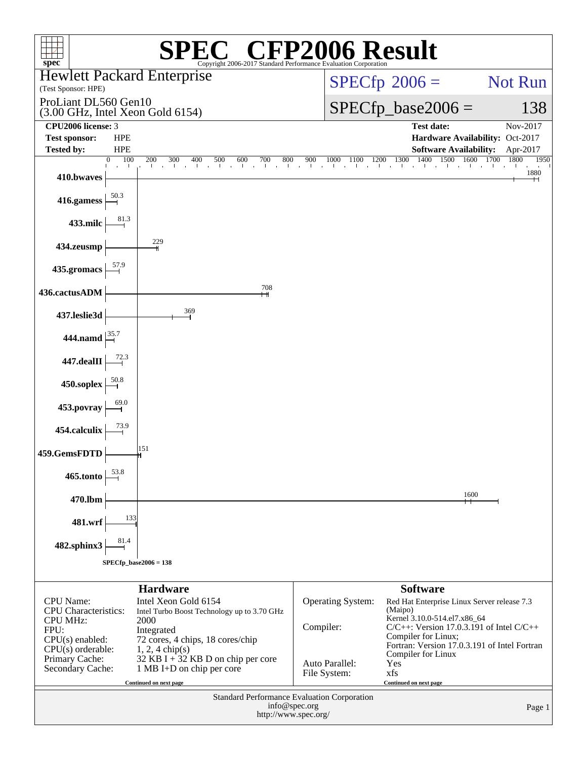| $spec^*$                                                                   |                         | $\mathbb{C}^{\scriptscriptstyle \otimes}$ CFP2006 Result<br>Copyright 2006-2017 Standard Performance Evaluation Corporation |                                       |                                       |                                                                                           |                                             |  |  |  |
|----------------------------------------------------------------------------|-------------------------|-----------------------------------------------------------------------------------------------------------------------------|---------------------------------------|---------------------------------------|-------------------------------------------------------------------------------------------|---------------------------------------------|--|--|--|
| (Test Sponsor: HPE)                                                        |                         | <b>Hewlett Packard Enterprise</b>                                                                                           |                                       |                                       | $SPECfp^{\circledcirc}2006 =$                                                             | Not Run                                     |  |  |  |
| ProLiant DL560 Gen10<br>$(3.00 \text{ GHz}, \text{Intel Xeon Gold } 6154)$ |                         |                                                                                                                             |                                       |                                       | $SPECfp\_base2006 =$                                                                      | 138                                         |  |  |  |
| CPU2006 license: 3<br><b>Test sponsor:</b>                                 | <b>HPE</b>              |                                                                                                                             |                                       |                                       | <b>Test date:</b>                                                                         | Nov-2017<br>Hardware Availability: Oct-2017 |  |  |  |
| <b>Tested by:</b>                                                          | <b>HPE</b>              |                                                                                                                             |                                       |                                       | <b>Software Availability:</b>                                                             | Apr-2017                                    |  |  |  |
| 410.bwaves                                                                 | 100<br>$\boldsymbol{0}$ | $200 \t 300 \t 400$<br>500<br>$600$ 700<br>800                                                                              |                                       | $900 \t 1000 \t 1100 \t 1200 \t 1300$ | 1400<br>1500<br>1600                                                                      | 1700<br>1800<br>1950<br>1880                |  |  |  |
| 416.gamess                                                                 | $\frac{50.3}{9}$        |                                                                                                                             |                                       |                                       |                                                                                           |                                             |  |  |  |
| 433.milc                                                                   | 81.3                    |                                                                                                                             |                                       |                                       |                                                                                           |                                             |  |  |  |
| 434.zeusmp                                                                 |                         | 229                                                                                                                         |                                       |                                       |                                                                                           |                                             |  |  |  |
| 435.gromacs                                                                | 57.9                    |                                                                                                                             |                                       |                                       |                                                                                           |                                             |  |  |  |
| 436.cactusADM                                                              |                         | 708                                                                                                                         |                                       |                                       |                                                                                           |                                             |  |  |  |
| 437.leslie3d                                                               |                         | 369                                                                                                                         |                                       |                                       |                                                                                           |                                             |  |  |  |
| 444.namd $\left  \frac{35.7}{ } \right $                                   |                         |                                                                                                                             |                                       |                                       |                                                                                           |                                             |  |  |  |
| 447.dealII                                                                 |                         |                                                                                                                             |                                       |                                       |                                                                                           |                                             |  |  |  |
| 450.soplex                                                                 |                         |                                                                                                                             |                                       |                                       |                                                                                           |                                             |  |  |  |
| 453.povray                                                                 |                         |                                                                                                                             |                                       |                                       |                                                                                           |                                             |  |  |  |
| 454.calculix                                                               |                         |                                                                                                                             |                                       |                                       |                                                                                           |                                             |  |  |  |
| 459.GemsFDTD                                                               |                         | 151                                                                                                                         |                                       |                                       |                                                                                           |                                             |  |  |  |
| 465.tonto                                                                  | 53.8                    |                                                                                                                             |                                       |                                       |                                                                                           |                                             |  |  |  |
| 470.lbm                                                                    |                         |                                                                                                                             |                                       |                                       | 1600                                                                                      |                                             |  |  |  |
| 481.wrf                                                                    | 133                     |                                                                                                                             |                                       |                                       |                                                                                           |                                             |  |  |  |
| 482.sphinx3                                                                | 81.4                    |                                                                                                                             |                                       |                                       |                                                                                           |                                             |  |  |  |
|                                                                            |                         | $SPECfp\_base2006 = 138$                                                                                                    |                                       |                                       |                                                                                           |                                             |  |  |  |
|                                                                            |                         | <b>Hardware</b>                                                                                                             |                                       |                                       | <b>Software</b>                                                                           |                                             |  |  |  |
| <b>CPU</b> Name:<br><b>CPU</b> Characteristics:                            |                         | Intel Xeon Gold 6154<br>Intel Turbo Boost Technology up to 3.70 GHz                                                         |                                       | Operating System:                     | Red Hat Enterprise Linux Server release 7.3<br>(Maipo)                                    |                                             |  |  |  |
| <b>CPU MHz:</b><br>FPU:                                                    |                         | 2000<br>Integrated                                                                                                          | Compiler:                             |                                       | Kernel 3.10.0-514.el7.x86_64<br>$C/C++$ : Version 17.0.3.191 of Intel $C/C++$             |                                             |  |  |  |
| $CPU(s)$ enabled:<br>$CPU(s)$ orderable:                                   |                         | 72 cores, 4 chips, 18 cores/chip<br>$1, 2, 4$ chip(s)                                                                       |                                       |                                       | Compiler for Linux;<br>Fortran: Version 17.0.3.191 of Intel Fortran<br>Compiler for Linux |                                             |  |  |  |
| Primary Cache:<br>Secondary Cache:                                         |                         | 32 KB I + 32 KB D on chip per core<br>1 MB I+D on chip per core                                                             |                                       | Auto Parallel:<br>File System:        | Yes<br>xfs                                                                                |                                             |  |  |  |
|                                                                            |                         | Continued on next page                                                                                                      |                                       |                                       | Continued on next page                                                                    |                                             |  |  |  |
|                                                                            |                         | <b>Standard Performance Evaluation Corporation</b>                                                                          | info@spec.org<br>http://www.spec.org/ |                                       |                                                                                           | Page 1                                      |  |  |  |
|                                                                            |                         |                                                                                                                             |                                       |                                       |                                                                                           |                                             |  |  |  |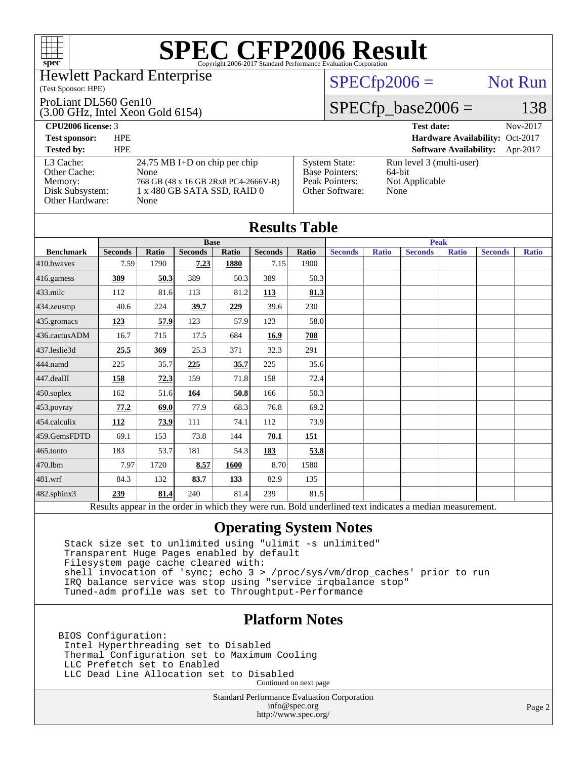

#### Hewlett Packard Enterprise

#### (Test Sponsor: HPE)

#### ProLiant DL560 Gen10

(3.00 GHz, Intel Xeon Gold 6154)

### $SPECfp2006 =$  Not Run

### $SPECfp\_base2006 = 138$

| <b>CPU2006 license: 3</b>                                                  |                                                                                                                      |                                                                                    | <b>Test date:</b>                                            | Nov-2017 |
|----------------------------------------------------------------------------|----------------------------------------------------------------------------------------------------------------------|------------------------------------------------------------------------------------|--------------------------------------------------------------|----------|
| <b>Test sponsor:</b>                                                       | <b>HPE</b>                                                                                                           |                                                                                    | Hardware Availability: Oct-2017                              |          |
| <b>Tested by:</b>                                                          | <b>HPE</b>                                                                                                           |                                                                                    | <b>Software Availability:</b>                                | Apr-2017 |
| L3 Cache:<br>Other Cache:<br>Memory:<br>Disk Subsystem:<br>Other Hardware: | 24.75 MB I+D on chip per chip<br>None<br>768 GB (48 x 16 GB 2Rx8 PC4-2666V-R)<br>1 x 480 GB SATA SSD, RAID 0<br>None | <b>System State:</b><br><b>Base Pointers:</b><br>Peak Pointers:<br>Other Software: | Run level 3 (multi-user)<br>64-bit<br>Not Applicable<br>None |          |

| <b>Results Table</b> |                                                                                                          |       |                |            |                |            |                |              |                |              |                |              |
|----------------------|----------------------------------------------------------------------------------------------------------|-------|----------------|------------|----------------|------------|----------------|--------------|----------------|--------------|----------------|--------------|
|                      | <b>Base</b>                                                                                              |       |                |            |                |            |                | <b>Peak</b>  |                |              |                |              |
| <b>Benchmark</b>     | <b>Seconds</b>                                                                                           | Ratio | <b>Seconds</b> | Ratio      | <b>Seconds</b> | Ratio      | <b>Seconds</b> | <b>Ratio</b> | <b>Seconds</b> | <b>Ratio</b> | <b>Seconds</b> | <b>Ratio</b> |
| $410$ .bwayes        | 7.59                                                                                                     | 1790  | 7.23           | 1880       | 7.15           | 1900       |                |              |                |              |                |              |
| 416.gamess           | 389                                                                                                      | 50.3  | 389            | 50.3       | 389            | 50.3       |                |              |                |              |                |              |
| $433$ .milc          | 112                                                                                                      | 81.6  | 113            | 81.2       | 113            | 81.3       |                |              |                |              |                |              |
| 434.zeusmp           | 40.6                                                                                                     | 224   | 39.7           | 229        | 39.6           | 230        |                |              |                |              |                |              |
| 435.gromacs          | <u>123</u>                                                                                               | 57.9  | 123            | 57.9       | 123            | 58.0       |                |              |                |              |                |              |
| 436.cactusADM        | 16.7                                                                                                     | 715   | 17.5           | 684        | 16.9           | 708        |                |              |                |              |                |              |
| 437.leslie3d         | 25.5                                                                                                     | 369   | 25.3           | 371        | 32.3           | 291        |                |              |                |              |                |              |
| 444.namd             | 225                                                                                                      | 35.7  | 225            | 35.7       | 225            | 35.6       |                |              |                |              |                |              |
| 447.dealII           | 158                                                                                                      | 72.3  | 159            | 71.8       | 158            | 72.4       |                |              |                |              |                |              |
| $450$ .soplex        | 162                                                                                                      | 51.6  | 164            | 50.8       | 166            | 50.3       |                |              |                |              |                |              |
| 453.povray           | 77.2                                                                                                     | 69.0  | 77.9           | 68.3       | 76.8           | 69.2       |                |              |                |              |                |              |
| $454$ .calculix      | <b>112</b>                                                                                               | 73.9  | 111            | 74.1       | 112            | 73.9       |                |              |                |              |                |              |
| 459.GemsFDTD         | 69.1                                                                                                     | 153   | 73.8           | 144        | 70.1           | <u>151</u> |                |              |                |              |                |              |
| $465$ .tonto         | 183                                                                                                      | 53.7  | 181            | 54.3       | 183            | 53.8       |                |              |                |              |                |              |
| 470.1bm              | 7.97                                                                                                     | 1720  | 8.57           | 1600       | 8.70           | 1580       |                |              |                |              |                |              |
| 481.wrf              | 84.3                                                                                                     | 132   | 83.7           | <u>133</u> | 82.9           | 135        |                |              |                |              |                |              |
| 482.sphinx3          | 239                                                                                                      | 81.4  | 240            | 81.4       | 239            | 81.5       |                |              |                |              |                |              |
|                      | Results appear in the order in which they were run. Bold underlined text indicates a median measurement. |       |                |            |                |            |                |              |                |              |                |              |

### **[Operating System Notes](http://www.spec.org/auto/cpu2006/Docs/result-fields.html#OperatingSystemNotes)**

 Stack size set to unlimited using "ulimit -s unlimited" Transparent Huge Pages enabled by default Filesystem page cache cleared with: shell invocation of 'sync; echo 3 > /proc/sys/vm/drop\_caches' prior to run IRQ balance service was stop using "service irqbalance stop" Tuned-adm profile was set to Throughtput-Performance

### **[Platform Notes](http://www.spec.org/auto/cpu2006/Docs/result-fields.html#PlatformNotes)**

BIOS Configuration: Intel Hyperthreading set to Disabled Thermal Configuration set to Maximum Cooling LLC Prefetch set to Enabled LLC Dead Line Allocation set to Disabled Continued on next page

> Standard Performance Evaluation Corporation [info@spec.org](mailto:info@spec.org) <http://www.spec.org/>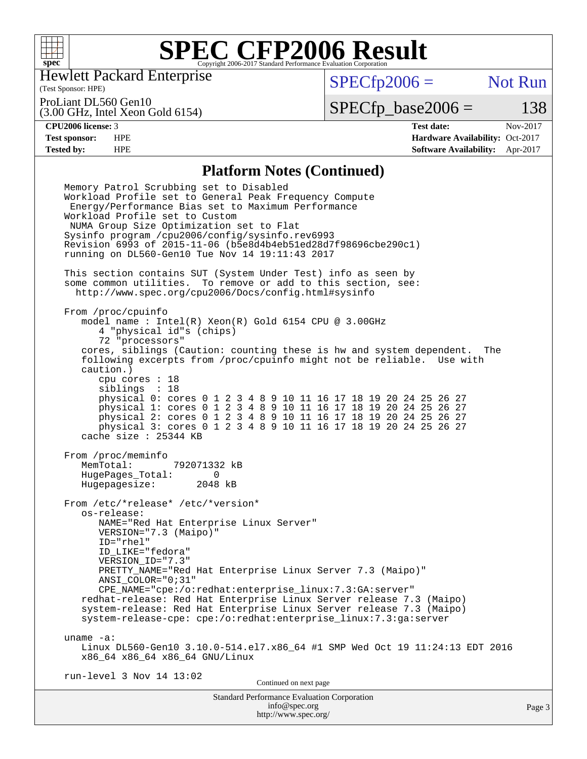

Hewlett Packard Enterprise

(Test Sponsor: HPE)

 $SPECfp2006 =$  Not Run

ProLiant DL560 Gen10

(3.00 GHz, Intel Xeon Gold 6154)

 $SPECTp\_base2006 = 138$ 

**[CPU2006 license:](http://www.spec.org/auto/cpu2006/Docs/result-fields.html#CPU2006license)** 3 **[Test date:](http://www.spec.org/auto/cpu2006/Docs/result-fields.html#Testdate)** Nov-2017 **[Test sponsor:](http://www.spec.org/auto/cpu2006/Docs/result-fields.html#Testsponsor)** HPE **[Hardware Availability:](http://www.spec.org/auto/cpu2006/Docs/result-fields.html#HardwareAvailability)** Oct-2017 **[Tested by:](http://www.spec.org/auto/cpu2006/Docs/result-fields.html#Testedby)** HPE **[Software Availability:](http://www.spec.org/auto/cpu2006/Docs/result-fields.html#SoftwareAvailability)** Apr-2017

#### **[Platform Notes \(Continued\)](http://www.spec.org/auto/cpu2006/Docs/result-fields.html#PlatformNotes)**

Standard Performance Evaluation Corporation Memory Patrol Scrubbing set to Disabled Workload Profile set to General Peak Frequency Compute Energy/Performance Bias set to Maximum Performance Workload Profile set to Custom NUMA Group Size Optimization set to Flat Sysinfo program /cpu2006/config/sysinfo.rev6993 Revision 6993 of 2015-11-06 (b5e8d4b4eb51ed28d7f98696cbe290c1) running on DL560-Gen10 Tue Nov 14 19:11:43 2017 This section contains SUT (System Under Test) info as seen by some common utilities. To remove or add to this section, see: <http://www.spec.org/cpu2006/Docs/config.html#sysinfo> From /proc/cpuinfo model name : Intel(R) Xeon(R) Gold 6154 CPU @ 3.00GHz 4 "physical id"s (chips) 72 "processors" cores, siblings (Caution: counting these is hw and system dependent. The following excerpts from /proc/cpuinfo might not be reliable. Use with caution.) cpu cores : 18 siblings : 18 physical 0: cores 0 1 2 3 4 8 9 10 11 16 17 18 19 20 24 25 26 27 physical 1: cores 0 1 2 3 4 8 9 10 11 16 17 18 19 20 24 25 26 27 physical 2: cores 0 1 2 3 4 8 9 10 11 16 17 18 19 20 24 25 26 27 physical 3: cores 0 1 2 3 4 8 9 10 11 16 17 18 19 20 24 25 26 27 cache size : 25344 KB From /proc/meminfo MemTotal: 792071332 kB HugePages\_Total: 0<br>Hugepagesize: 2048 kB Hugepagesize: From /etc/\*release\* /etc/\*version\* os-release: NAME="Red Hat Enterprise Linux Server" VERSION="7.3 (Maipo)" ID="rhel" ID\_LIKE="fedora" VERSION\_ID="7.3" PRETTY\_NAME="Red Hat Enterprise Linux Server 7.3 (Maipo)" ANSI\_COLOR="0;31" CPE\_NAME="cpe:/o:redhat:enterprise\_linux:7.3:GA:server" redhat-release: Red Hat Enterprise Linux Server release 7.3 (Maipo) system-release: Red Hat Enterprise Linux Server release 7.3 (Maipo) system-release-cpe: cpe:/o:redhat:enterprise\_linux:7.3:ga:server uname -a: Linux DL560-Gen10 3.10.0-514.el7.x86\_64 #1 SMP Wed Oct 19 11:24:13 EDT 2016 x86\_64 x86\_64 x86\_64 GNU/Linux run-level 3 Nov 14 13:02 Continued on next page

[info@spec.org](mailto:info@spec.org) <http://www.spec.org/>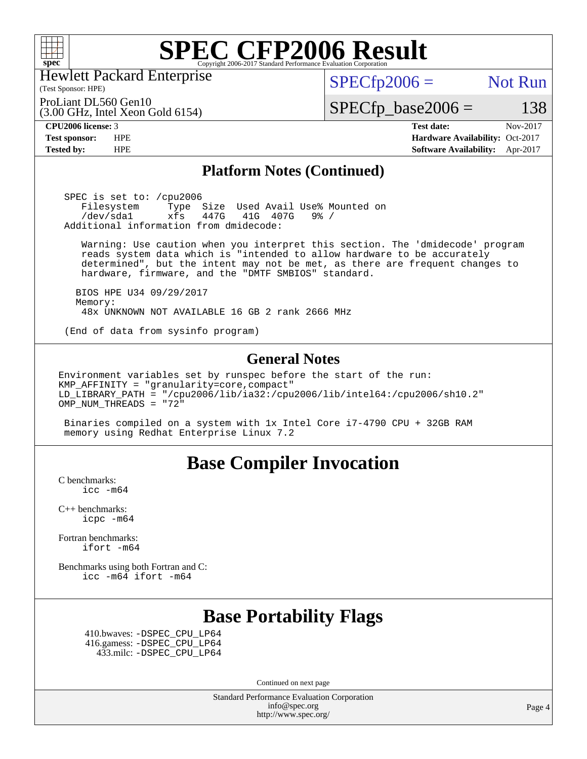

Hewlett Packard Enterprise

(3.00 GHz, Intel Xeon Gold 6154)

 $SPECTp2006 =$  Not Run

ProLiant DL560 Gen10

 $SPECTp\_base2006 = 138$ 

(Test Sponsor: HPE)

**[CPU2006 license:](http://www.spec.org/auto/cpu2006/Docs/result-fields.html#CPU2006license)** 3 **[Test date:](http://www.spec.org/auto/cpu2006/Docs/result-fields.html#Testdate)** Nov-2017 **[Test sponsor:](http://www.spec.org/auto/cpu2006/Docs/result-fields.html#Testsponsor)** HPE **[Hardware Availability:](http://www.spec.org/auto/cpu2006/Docs/result-fields.html#HardwareAvailability)** Oct-2017 **[Tested by:](http://www.spec.org/auto/cpu2006/Docs/result-fields.html#Testedby)** HPE **[Software Availability:](http://www.spec.org/auto/cpu2006/Docs/result-fields.html#SoftwareAvailability)** Apr-2017

### **[Platform Notes \(Continued\)](http://www.spec.org/auto/cpu2006/Docs/result-fields.html#PlatformNotes)**

 SPEC is set to: /cpu2006 Filesystem Type Size Used Avail Use% Mounted on<br>/dev/sdal xfs 447G 41G 407G 9% / /dev/sda1 xfs 447G 41G 407G 9% / Additional information from dmidecode:

 Warning: Use caution when you interpret this section. The 'dmidecode' program reads system data which is "intended to allow hardware to be accurately determined", but the intent may not be met, as there are frequent changes to hardware, firmware, and the "DMTF SMBIOS" standard.

 BIOS HPE U34 09/29/2017 Memory: 48x UNKNOWN NOT AVAILABLE 16 GB 2 rank 2666 MHz

(End of data from sysinfo program)

#### **[General Notes](http://www.spec.org/auto/cpu2006/Docs/result-fields.html#GeneralNotes)**

Environment variables set by runspec before the start of the run: KMP\_AFFINITY = "granularity=core,compact" LD\_LIBRARY\_PATH = "/cpu2006/lib/ia32:/cpu2006/lib/intel64:/cpu2006/sh10.2"  $OMP_NUM_THREADS = "72"$ 

 Binaries compiled on a system with 1x Intel Core i7-4790 CPU + 32GB RAM memory using Redhat Enterprise Linux 7.2

## **[Base Compiler Invocation](http://www.spec.org/auto/cpu2006/Docs/result-fields.html#BaseCompilerInvocation)**

[C benchmarks](http://www.spec.org/auto/cpu2006/Docs/result-fields.html#Cbenchmarks): [icc -m64](http://www.spec.org/cpu2006/results/res2017q4/cpu2006-20171127-50802.flags.html#user_CCbase_intel_icc_64bit_bda6cc9af1fdbb0edc3795bac97ada53)

[C++ benchmarks:](http://www.spec.org/auto/cpu2006/Docs/result-fields.html#CXXbenchmarks) [icpc -m64](http://www.spec.org/cpu2006/results/res2017q4/cpu2006-20171127-50802.flags.html#user_CXXbase_intel_icpc_64bit_fc66a5337ce925472a5c54ad6a0de310)

[Fortran benchmarks](http://www.spec.org/auto/cpu2006/Docs/result-fields.html#Fortranbenchmarks): [ifort -m64](http://www.spec.org/cpu2006/results/res2017q4/cpu2006-20171127-50802.flags.html#user_FCbase_intel_ifort_64bit_ee9d0fb25645d0210d97eb0527dcc06e)

[Benchmarks using both Fortran and C](http://www.spec.org/auto/cpu2006/Docs/result-fields.html#BenchmarksusingbothFortranandC): [icc -m64](http://www.spec.org/cpu2006/results/res2017q4/cpu2006-20171127-50802.flags.html#user_CC_FCbase_intel_icc_64bit_bda6cc9af1fdbb0edc3795bac97ada53) [ifort -m64](http://www.spec.org/cpu2006/results/res2017q4/cpu2006-20171127-50802.flags.html#user_CC_FCbase_intel_ifort_64bit_ee9d0fb25645d0210d97eb0527dcc06e)

## **[Base Portability Flags](http://www.spec.org/auto/cpu2006/Docs/result-fields.html#BasePortabilityFlags)**

 410.bwaves: [-DSPEC\\_CPU\\_LP64](http://www.spec.org/cpu2006/results/res2017q4/cpu2006-20171127-50802.flags.html#suite_basePORTABILITY410_bwaves_DSPEC_CPU_LP64) 416.gamess: [-DSPEC\\_CPU\\_LP64](http://www.spec.org/cpu2006/results/res2017q4/cpu2006-20171127-50802.flags.html#suite_basePORTABILITY416_gamess_DSPEC_CPU_LP64) 433.milc: [-DSPEC\\_CPU\\_LP64](http://www.spec.org/cpu2006/results/res2017q4/cpu2006-20171127-50802.flags.html#suite_basePORTABILITY433_milc_DSPEC_CPU_LP64)

Continued on next page

Standard Performance Evaluation Corporation [info@spec.org](mailto:info@spec.org) <http://www.spec.org/>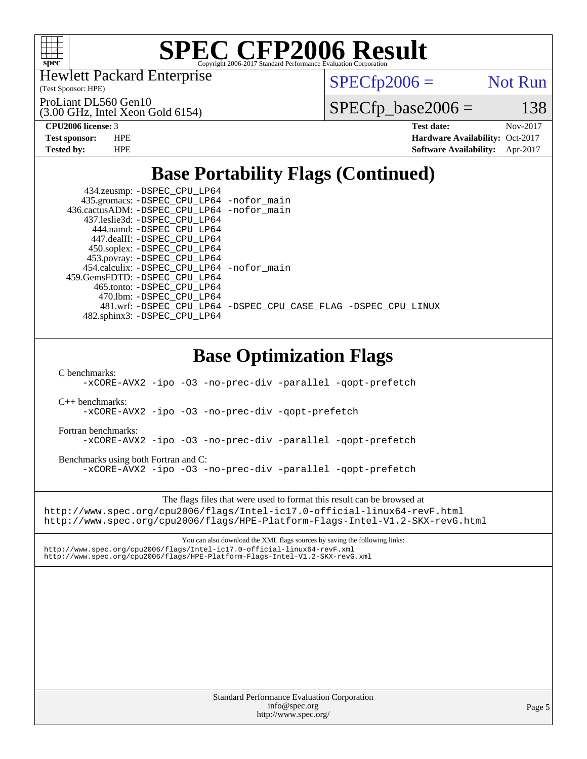

Hewlett Packard Enterprise

(Test Sponsor: HPE)

 $SPECTp2006 =$  Not Run

(3.00 GHz, Intel Xeon Gold 6154) ProLiant DL560 Gen10

 $SPECfp\_base2006 = 138$ 

**[CPU2006 license:](http://www.spec.org/auto/cpu2006/Docs/result-fields.html#CPU2006license)** 3 **[Test date:](http://www.spec.org/auto/cpu2006/Docs/result-fields.html#Testdate)** Nov-2017 **[Test sponsor:](http://www.spec.org/auto/cpu2006/Docs/result-fields.html#Testsponsor)** HPE **[Hardware Availability:](http://www.spec.org/auto/cpu2006/Docs/result-fields.html#HardwareAvailability)** Oct-2017 **[Tested by:](http://www.spec.org/auto/cpu2006/Docs/result-fields.html#Testedby)** HPE **[Software Availability:](http://www.spec.org/auto/cpu2006/Docs/result-fields.html#SoftwareAvailability)** Apr-2017

# **[Base Portability Flags \(Continued\)](http://www.spec.org/auto/cpu2006/Docs/result-fields.html#BasePortabilityFlags)**

| 434.zeusmp: -DSPEC_CPU_LP64                  |                                                                |
|----------------------------------------------|----------------------------------------------------------------|
| 435.gromacs: -DSPEC_CPU_LP64 -nofor_main     |                                                                |
| 436.cactusADM: - DSPEC CPU LP64 - nofor main |                                                                |
| 437.leslie3d: -DSPEC CPU LP64                |                                                                |
| 444.namd: -DSPEC CPU LP64                    |                                                                |
| 447.dealII: -DSPEC CPU LP64                  |                                                                |
| 450.soplex: -DSPEC_CPU_LP64                  |                                                                |
| 453.povray: -DSPEC_CPU_LP64                  |                                                                |
| 454.calculix: -DSPEC_CPU_LP64 -nofor_main    |                                                                |
| 459. GemsFDTD: - DSPEC CPU LP64              |                                                                |
| 465.tonto: -DSPEC CPU LP64                   |                                                                |
| 470.1bm: -DSPEC CPU LP64                     |                                                                |
|                                              | 481.wrf: -DSPEC_CPU_LP64 -DSPEC_CPU_CASE_FLAG -DSPEC_CPU_LINUX |
| 482.sphinx3: -DSPEC_CPU_LP64                 |                                                                |
|                                              |                                                                |
|                                              |                                                                |

# **[Base Optimization Flags](http://www.spec.org/auto/cpu2006/Docs/result-fields.html#BaseOptimizationFlags)**

[C benchmarks](http://www.spec.org/auto/cpu2006/Docs/result-fields.html#Cbenchmarks):

[-xCORE-AVX2](http://www.spec.org/cpu2006/results/res2017q4/cpu2006-20171127-50802.flags.html#user_CCbase_f-xCORE-AVX2) [-ipo](http://www.spec.org/cpu2006/results/res2017q4/cpu2006-20171127-50802.flags.html#user_CCbase_f-ipo) [-O3](http://www.spec.org/cpu2006/results/res2017q4/cpu2006-20171127-50802.flags.html#user_CCbase_f-O3) [-no-prec-div](http://www.spec.org/cpu2006/results/res2017q4/cpu2006-20171127-50802.flags.html#user_CCbase_f-no-prec-div) [-parallel](http://www.spec.org/cpu2006/results/res2017q4/cpu2006-20171127-50802.flags.html#user_CCbase_f-parallel) [-qopt-prefetch](http://www.spec.org/cpu2006/results/res2017q4/cpu2006-20171127-50802.flags.html#user_CCbase_f-qopt-prefetch)

[C++ benchmarks:](http://www.spec.org/auto/cpu2006/Docs/result-fields.html#CXXbenchmarks)

[-xCORE-AVX2](http://www.spec.org/cpu2006/results/res2017q4/cpu2006-20171127-50802.flags.html#user_CXXbase_f-xCORE-AVX2) [-ipo](http://www.spec.org/cpu2006/results/res2017q4/cpu2006-20171127-50802.flags.html#user_CXXbase_f-ipo) [-O3](http://www.spec.org/cpu2006/results/res2017q4/cpu2006-20171127-50802.flags.html#user_CXXbase_f-O3) [-no-prec-div](http://www.spec.org/cpu2006/results/res2017q4/cpu2006-20171127-50802.flags.html#user_CXXbase_f-no-prec-div) [-qopt-prefetch](http://www.spec.org/cpu2006/results/res2017q4/cpu2006-20171127-50802.flags.html#user_CXXbase_f-qopt-prefetch)

[Fortran benchmarks](http://www.spec.org/auto/cpu2006/Docs/result-fields.html#Fortranbenchmarks):

[-xCORE-AVX2](http://www.spec.org/cpu2006/results/res2017q4/cpu2006-20171127-50802.flags.html#user_FCbase_f-xCORE-AVX2) [-ipo](http://www.spec.org/cpu2006/results/res2017q4/cpu2006-20171127-50802.flags.html#user_FCbase_f-ipo) [-O3](http://www.spec.org/cpu2006/results/res2017q4/cpu2006-20171127-50802.flags.html#user_FCbase_f-O3) [-no-prec-div](http://www.spec.org/cpu2006/results/res2017q4/cpu2006-20171127-50802.flags.html#user_FCbase_f-no-prec-div) [-parallel](http://www.spec.org/cpu2006/results/res2017q4/cpu2006-20171127-50802.flags.html#user_FCbase_f-parallel) [-qopt-prefetch](http://www.spec.org/cpu2006/results/res2017q4/cpu2006-20171127-50802.flags.html#user_FCbase_f-qopt-prefetch)

[Benchmarks using both Fortran and C](http://www.spec.org/auto/cpu2006/Docs/result-fields.html#BenchmarksusingbothFortranandC): [-xCORE-AVX2](http://www.spec.org/cpu2006/results/res2017q4/cpu2006-20171127-50802.flags.html#user_CC_FCbase_f-xCORE-AVX2) [-ipo](http://www.spec.org/cpu2006/results/res2017q4/cpu2006-20171127-50802.flags.html#user_CC_FCbase_f-ipo) [-O3](http://www.spec.org/cpu2006/results/res2017q4/cpu2006-20171127-50802.flags.html#user_CC_FCbase_f-O3) [-no-prec-div](http://www.spec.org/cpu2006/results/res2017q4/cpu2006-20171127-50802.flags.html#user_CC_FCbase_f-no-prec-div) [-parallel](http://www.spec.org/cpu2006/results/res2017q4/cpu2006-20171127-50802.flags.html#user_CC_FCbase_f-parallel) [-qopt-prefetch](http://www.spec.org/cpu2006/results/res2017q4/cpu2006-20171127-50802.flags.html#user_CC_FCbase_f-qopt-prefetch)

The flags files that were used to format this result can be browsed at <http://www.spec.org/cpu2006/flags/Intel-ic17.0-official-linux64-revF.html> <http://www.spec.org/cpu2006/flags/HPE-Platform-Flags-Intel-V1.2-SKX-revG.html>

You can also download the XML flags sources by saving the following links: <http://www.spec.org/cpu2006/flags/Intel-ic17.0-official-linux64-revF.xml> <http://www.spec.org/cpu2006/flags/HPE-Platform-Flags-Intel-V1.2-SKX-revG.xml>